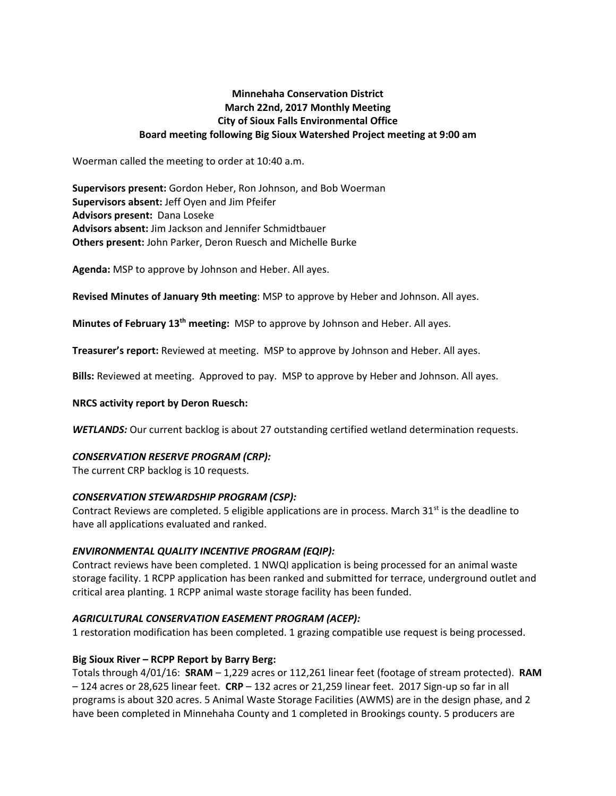# **Minnehaha Conservation District March 22nd, 2017 Monthly Meeting City of Sioux Falls Environmental Office Board meeting following Big Sioux Watershed Project meeting at 9:00 am**

Woerman called the meeting to order at 10:40 a.m.

**Supervisors present:** Gordon Heber, Ron Johnson, and Bob Woerman **Supervisors absent:** Jeff Oyen and Jim Pfeifer **Advisors present:** Dana Loseke **Advisors absent:** Jim Jackson and Jennifer Schmidtbauer **Others present:** John Parker, Deron Ruesch and Michelle Burke

**Agenda:** MSP to approve by Johnson and Heber. All ayes.

**Revised Minutes of January 9th meeting**: MSP to approve by Heber and Johnson. All ayes.

**Minutes of February 13th meeting:** MSP to approve by Johnson and Heber. All ayes.

**Treasurer's report:** Reviewed at meeting. MSP to approve by Johnson and Heber. All ayes.

**Bills:** Reviewed at meeting. Approved to pay. MSP to approve by Heber and Johnson. All ayes.

### **NRCS activity report by Deron Ruesch:**

*WETLANDS:* Our current backlog is about 27 outstanding certified wetland determination requests.

### *CONSERVATION RESERVE PROGRAM (CRP):*

The current CRP backlog is 10 requests.

### *CONSERVATION STEWARDSHIP PROGRAM (CSP):*

Contract Reviews are completed. 5 eligible applications are in process. March  $31^{st}$  is the deadline to have all applications evaluated and ranked.

# *ENVIRONMENTAL QUALITY INCENTIVE PROGRAM (EQIP):*

Contract reviews have been completed. 1 NWQI application is being processed for an animal waste storage facility. 1 RCPP application has been ranked and submitted for terrace, underground outlet and critical area planting. 1 RCPP animal waste storage facility has been funded.

# *AGRICULTURAL CONSERVATION EASEMENT PROGRAM (ACEP):*

1 restoration modification has been completed. 1 grazing compatible use request is being processed.

# **Big Sioux River – RCPP Report by Barry Berg:**

Totals through 4/01/16: **SRAM** – 1,229 acres or 112,261 linear feet (footage of stream protected). **RAM** – 124 acres or 28,625 linear feet. **CRP** – 132 acres or 21,259 linear feet. 2017 Sign-up so far in all programs is about 320 acres. 5 Animal Waste Storage Facilities (AWMS) are in the design phase, and 2 have been completed in Minnehaha County and 1 completed in Brookings county. 5 producers are